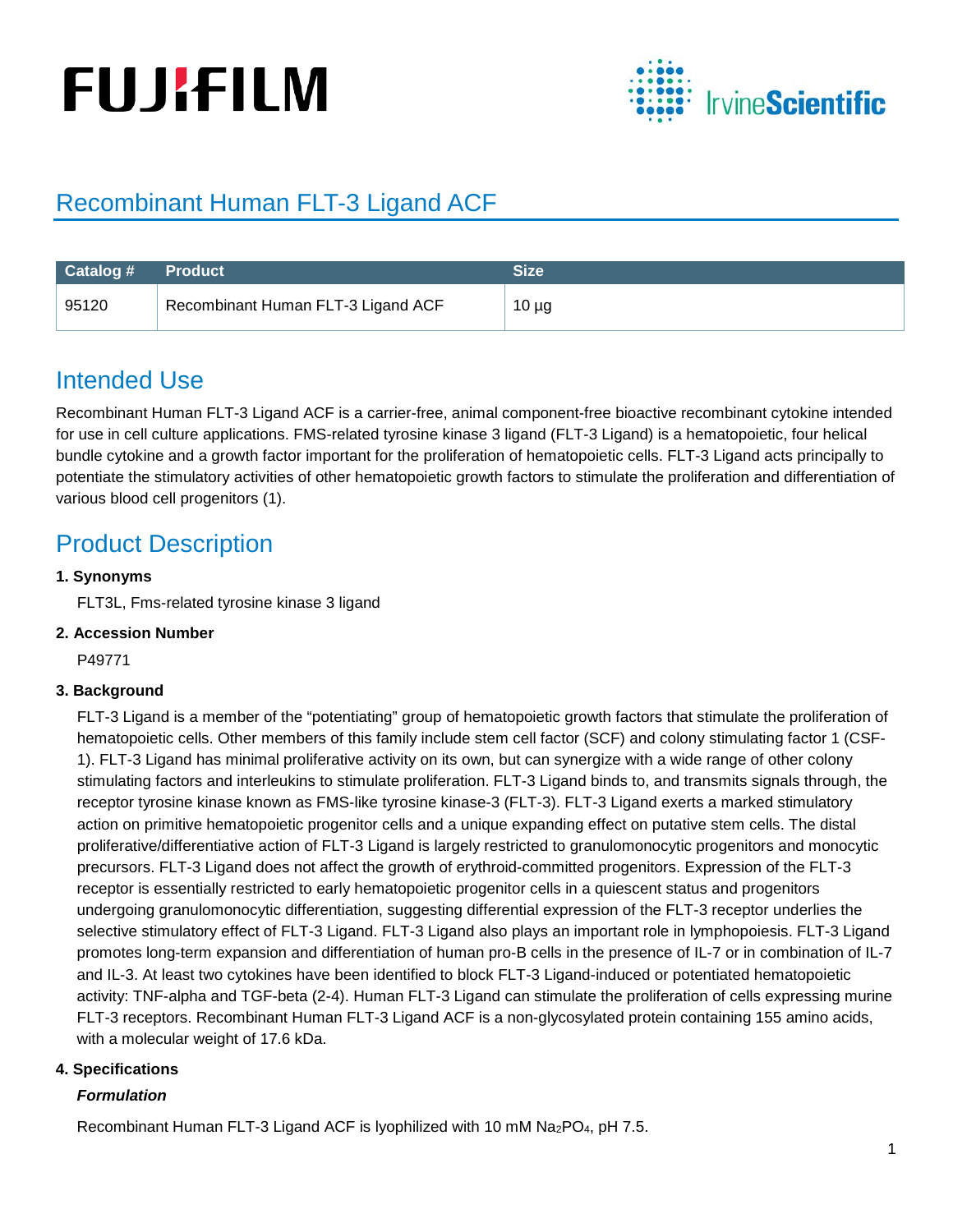# **FUJIFILM**



# Recombinant Human FLT-3 Ligand ACF

| <b>Catalog # Product</b> |                                    | Size       |
|--------------------------|------------------------------------|------------|
| 95120                    | Recombinant Human FLT-3 Ligand ACF | $10 \mu g$ |

## Intended Use

Recombinant Human FLT-3 Ligand ACF is a carrier-free, animal component-free bioactive recombinant cytokine intended for use in cell culture applications. FMS-related tyrosine kinase 3 ligand (FLT-3 Ligand) is a hematopoietic, four helical bundle cytokine and a growth factor important for the proliferation of hematopoietic cells. FLT-3 Ligand acts principally to potentiate the stimulatory activities of other hematopoietic growth factors to stimulate the proliferation and differentiation of various blood cell progenitors (1).

## Product Description

## **1. Synonyms**

FLT3L, Fms-related tyrosine kinase 3 ligand

### **2. Accession Number**

P49771

## **3. Background**

FLT-3 Ligand is a member of the "potentiating" group of hematopoietic growth factors that stimulate the proliferation of hematopoietic cells. Other members of this family include stem cell factor (SCF) and colony stimulating factor 1 (CSF-1). FLT-3 Ligand has minimal proliferative activity on its own, but can synergize with a wide range of other colony stimulating factors and interleukins to stimulate proliferation. FLT-3 Ligand binds to, and transmits signals through, the receptor tyrosine kinase known as FMS-like tyrosine kinase-3 (FLT-3). FLT-3 Ligand exerts a marked stimulatory action on primitive hematopoietic progenitor cells and a unique expanding effect on putative stem cells. The distal proliferative/differentiative action of FLT-3 Ligand is largely restricted to granulomonocytic progenitors and monocytic precursors. FLT-3 Ligand does not affect the growth of erythroid-committed progenitors. Expression of the FLT-3 receptor is essentially restricted to early hematopoietic progenitor cells in a quiescent status and progenitors undergoing granulomonocytic differentiation, suggesting differential expression of the FLT-3 receptor underlies the selective stimulatory effect of FLT-3 Ligand. FLT-3 Ligand also plays an important role in lymphopoiesis. FLT-3 Ligand promotes long-term expansion and differentiation of human pro-B cells in the presence of IL-7 or in combination of IL-7 and IL-3. At least two cytokines have been identified to block FLT-3 Ligand-induced or potentiated hematopoietic activity: TNF-alpha and TGF-beta (2-4). Human FLT-3 Ligand can stimulate the proliferation of cells expressing murine FLT-3 receptors. Recombinant Human FLT-3 Ligand ACF is a non-glycosylated protein containing 155 amino acids, with a molecular weight of 17.6 kDa.

### **4. Specifications**

### *Formulation*

Recombinant Human FLT-3 Ligand ACF is lyophilized with 10 mM Na<sub>2</sub>PO<sub>4</sub>, pH 7.5.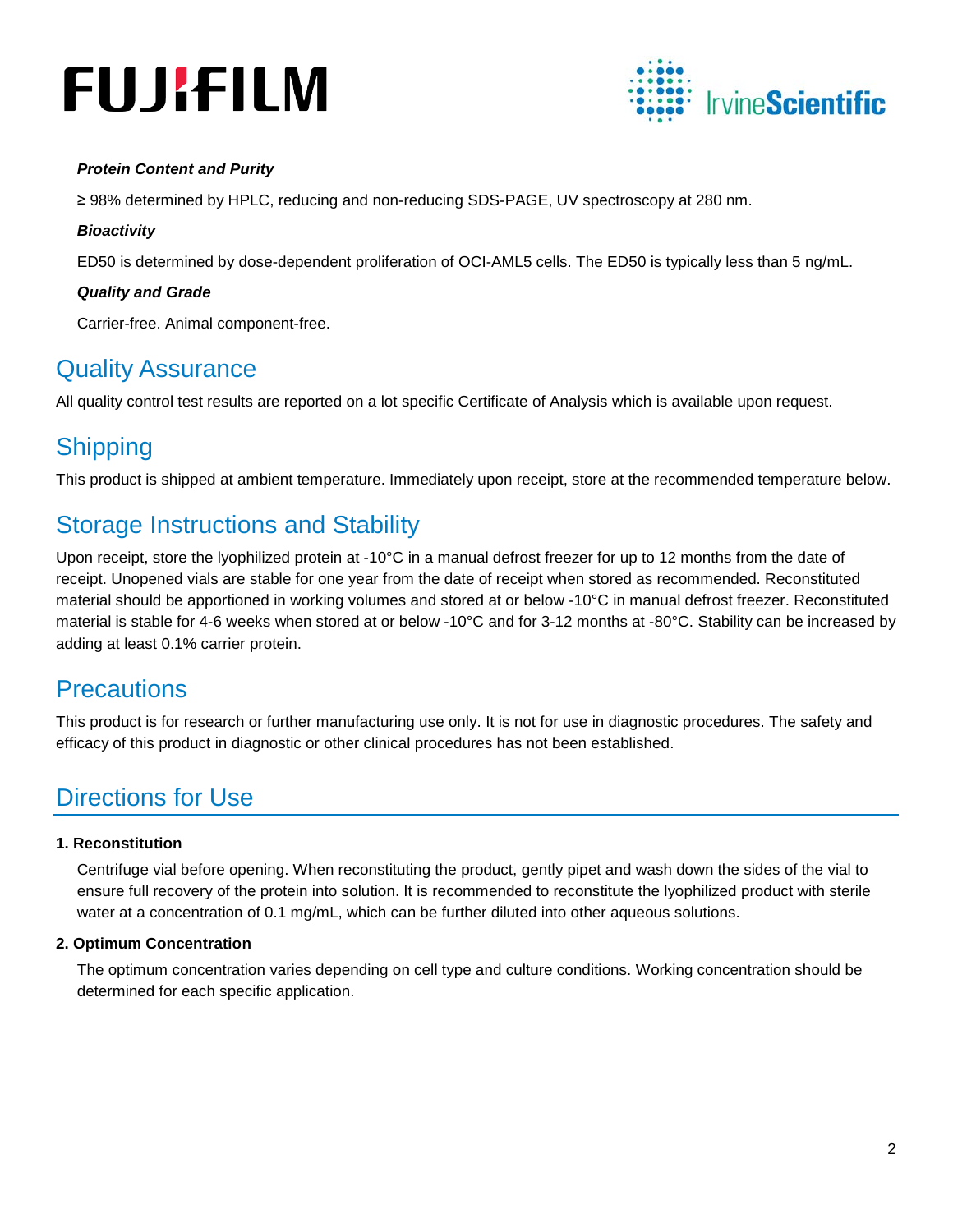# **FUJIFILM**



## *Protein Content and Purity*

≥ 98% determined by HPLC, reducing and non-reducing SDS-PAGE, UV spectroscopy at 280 nm.

#### *Bioactivity*

ED50 is determined by dose-dependent proliferation of OCI-AML5 cells. The ED50 is typically less than 5 ng/mL.

### *Quality and Grade*

Carrier-free. Animal component-free.

## Quality Assurance

All quality control test results are reported on a lot specific Certificate of Analysis which is available upon request.

## **Shipping**

This product is shipped at ambient temperature. Immediately upon receipt, store at the recommended temperature below.

## Storage Instructions and Stability

Upon receipt, store the lyophilized protein at -10°C in a manual defrost freezer for up to 12 months from the date of receipt. Unopened vials are stable for one year from the date of receipt when stored as recommended. Reconstituted material should be apportioned in working volumes and stored at or below -10°C in manual defrost freezer. Reconstituted material is stable for 4-6 weeks when stored at or below -10°C and for 3-12 months at -80°C. Stability can be increased by adding at least 0.1% carrier protein.

## **Precautions**

This product is for research or further manufacturing use only. It is not for use in diagnostic procedures. The safety and efficacy of this product in diagnostic or other clinical procedures has not been established.

# Directions for Use

### **1. Reconstitution**

Centrifuge vial before opening. When reconstituting the product, gently pipet and wash down the sides of the vial to ensure full recovery of the protein into solution. It is recommended to reconstitute the lyophilized product with sterile water at a concentration of 0.1 mg/mL, which can be further diluted into other aqueous solutions.

### **2. Optimum Concentration**

The optimum concentration varies depending on cell type and culture conditions. Working concentration should be determined for each specific application.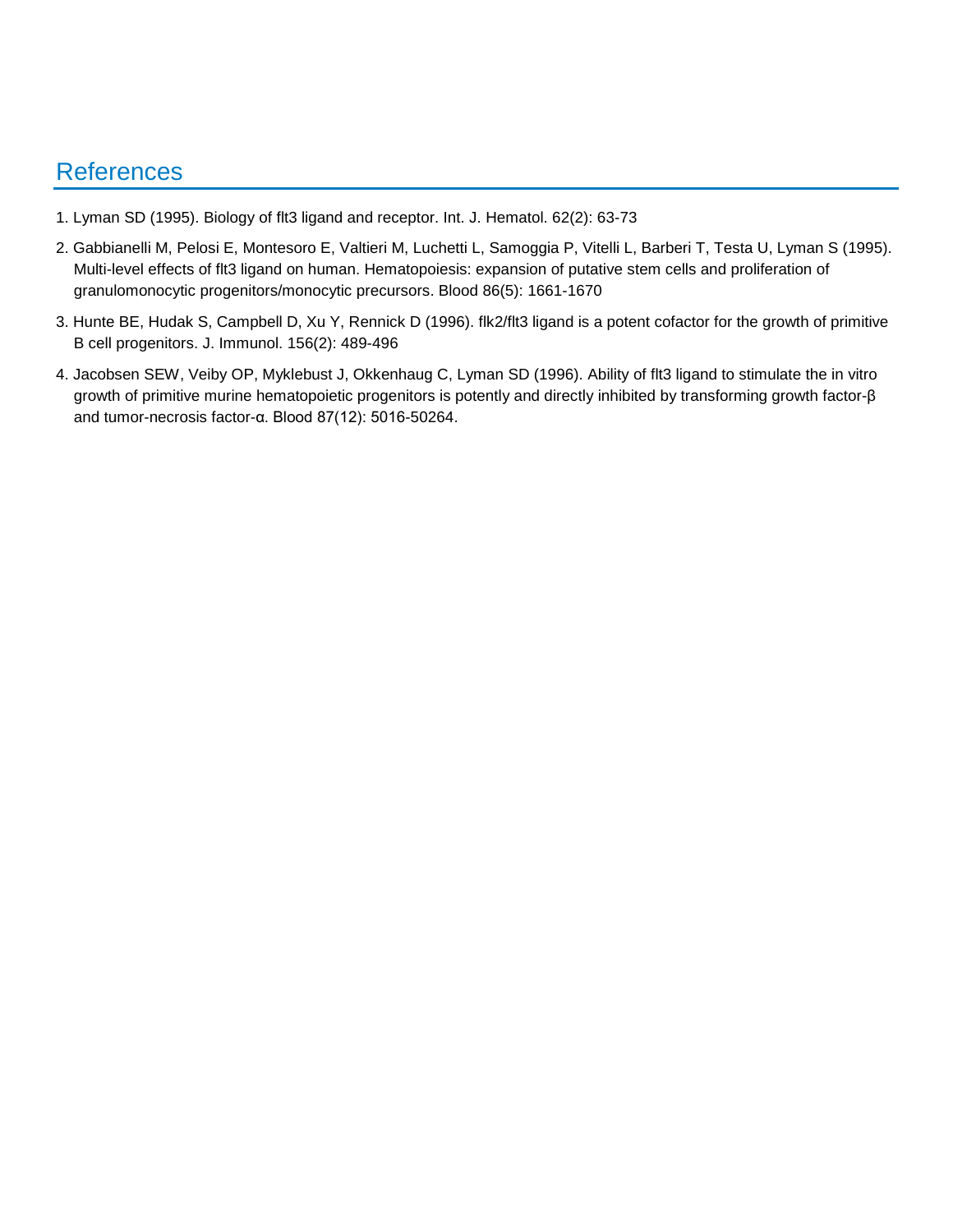## References

- 1. Lyman SD (1995). Biology of flt3 ligand and receptor. Int. J. Hematol. 62(2): 63-73
- 2. Gabbianelli M, Pelosi E, Montesoro E, Valtieri M, Luchetti L, Samoggia P, Vitelli L, Barberi T, Testa U, Lyman S (1995). Multi-level effects of flt3 ligand on human. Hematopoiesis: expansion of putative stem cells and proliferation of granulomonocytic progenitors/monocytic precursors. Blood 86(5): 1661-1670
- 3. Hunte BE, Hudak S, Campbell D, Xu Y, Rennick D (1996). flk2/flt3 ligand is a potent cofactor for the growth of primitive B cell progenitors. J. Immunol. 156(2): 489-496
- 4. Jacobsen SEW, Veiby OP, Myklebust J, Okkenhaug C, Lyman SD (1996). Ability of flt3 ligand to stimulate the in vitro growth of primitive murine hematopoietic progenitors is potently and directly inhibited by transforming growth factor-β and tumor-necrosis factor-α. Blood 87(12): 5016-50264.